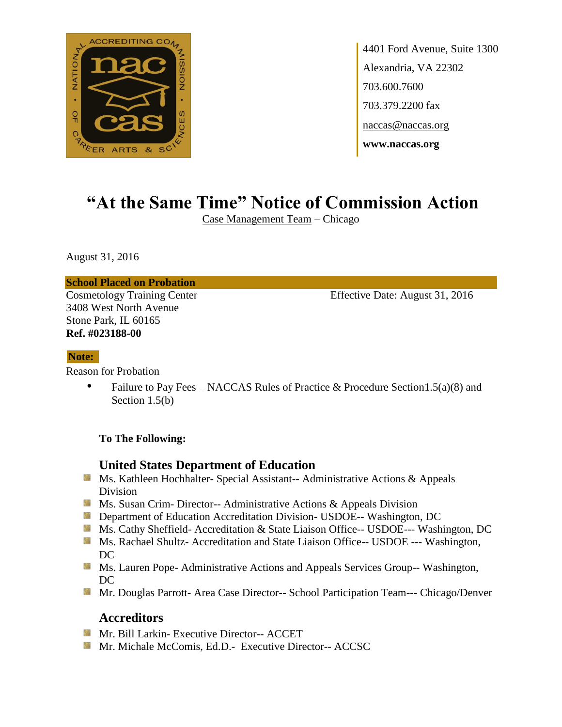

4401 Ford Avenue, Suite 1300 Alexandria, VA 22302 703.600.7600 703.379.2200 fax naccas@naccas.org **www.naccas.org**

# **"At the Same Time" Notice of Commission Action**

Case Management Team – Chicago

August 31, 2016

**School Placed on Probation**

3408 West North Avenue Stone Park, IL 60165 **Ref. #023188-00**

Cosmetology Training Center Effective Date: August 31, 2016

#### **Note:**

Reason for Probation

• Failure to Pay Fees – NACCAS Rules of Practice & Procedure Section 1.5(a)(8) and Section 1.5(b)

### **To The Following:**

## **United States Department of Education**

- **MS. Kathleen Hochhalter- Special Assistant-- Administrative Actions & Appeals** Division
- **Ms. Susan Crim- Director-- Administrative Actions & Appeals Division**
- **Externement of Education Accreditation Division- USDOE-- Washington, DC**
- Ms. Cathy Sheffield- Accreditation & State Liaison Office-- USDOE--- Washington, DC
- **Ms. Rachael Shultz- Accreditation and State Liaison Office-- USDOE --- Washington,** DC
- **MS. Lauren Pope- Administrative Actions and Appeals Services Group-- Washington,** DC
- **Mr. Douglas Parrott- Area Case Director-- School Participation Team--- Chicago/Denver**

## **Accreditors**

- **Mr. Bill Larkin- Executive Director-- ACCET**
- **Mr. Michale McComis, Ed.D.- Executive Director-- ACCSC**